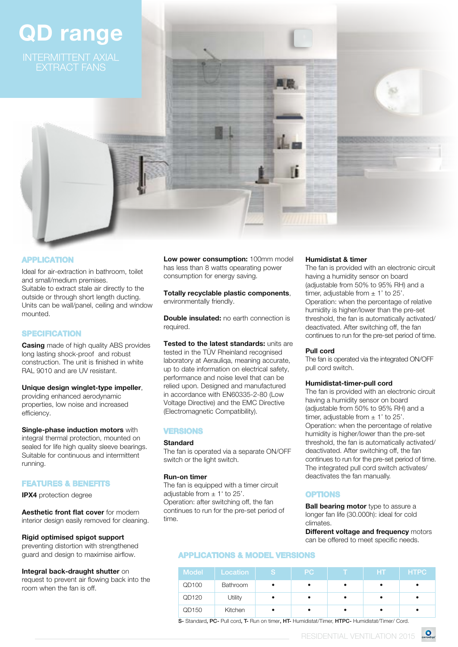# QD range



Totally recyclable plastic components, environmentally friendly.

**Double insulated:** no earth connection is required.

Tested to the latest standards: units are tested in the TÜV Rheinland recognised laboratory at Aerauliqa, meaning accurate, up to date information on electrical safety, performance and noise level that can be relied upon. Designed and manufactured in accordance with EN60335-2-80 (Low Voltage Directive) and the EMC Directive (Electromagnetic Compatibility).

#### VERSIONS

#### Standard

The fan is operated via a separate ON/OFF switch or the light switch.

#### Run-on timer

The fan is equipped with a timer circuit adjustable from  $\pm$  1' to 25'. Operation: after switching off, the fan continues to run for the pre-set period of time.

#### Humidistat & timer

The fan is provided with an electronic circuit having a humidity sensor on board (adjustable from 50% to 95% RH) and a timer, adjustable from  $\pm$  1' to 25'. Operation: when the percentage of relative humidity is higher/lower than the pre-set threshold, the fan is automatically activated/ deactivated. After switching off, the fan continues to run for the pre-set period of time.

#### Pull cord

The fan is operated via the integrated ON/OFF pull cord switch.

#### Humidistat-timer-pull cord

The fan is provided with an electronic circuit having a humidity sensor on board (adjustable from 50% to 95% RH) and a timer, adjustable from  $\pm$  1' to 25'. Operation: when the percentage of relative humidity is higher/lower than the pre-set threshold, the fan is automatically activated/ deactivated. After switching off, the fan continues to run for the pre-set period of time. The integrated pull cord switch activates/ deactivates the fan manually.

#### OPTIONS

**Ball bearing motor** type to assure a longer fan life (30.000h): ideal for cold climates.

**Different voltage and frequency motors** can be offered to meet specific needs.

### APPLICATIONS & MODEL VERSIONS

| <b>Model</b> | Location | ls. | PC. | <b>HT</b> | <b>HTPC</b> |
|--------------|----------|-----|-----|-----------|-------------|
| QD100        | Bathroom |     |     |           |             |
| QD120        | Utility  | ٠   |     |           |             |
| QD150        | Kitchen  |     |     |           |             |

S- Standard, PC- Pull cord, T- Run on timer, HT- Humidistat/Timer, HTPC- Humidistat/Timer/ Cord.

## **APPLICATION**

Ideal for air-extraction in bathroom, toilet and small/medium premises. Suitable to extract stale air directly to the outside or through short length ducting. Units can be wall/panel, ceiling and window mounted.

#### **SPECIFICATION**

**Casing** made of high quality ABS provides long lasting shock-proof and robust construction. The unit is finished in white RAL 9010 and are UV resistant.

#### Unique design winglet-type impeller,

providing enhanced aerodynamic properties, low noise and increased efficiency.

#### **Single-phase induction motors with**

integral thermal protection, mounted on sealed for life high quality sleeve bearings. Suitable for continuous and intermittent running.

#### FEATURES & BENEFITS

IPX4 protection degree

Aesthetic front flat cover for modern interior design easily removed for cleaning.

#### Rigid optimised spigot support

preventing distortion with strengthened guard and design to maximise airflow.

#### Integral back-draught shutter on

request to prevent air flowing back into the room when the fan is off.